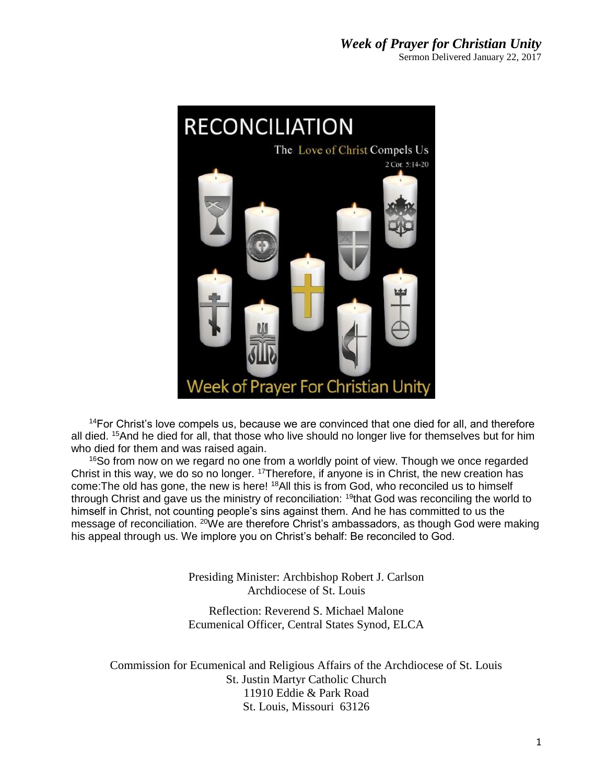

 $14$ For Christ's love compels us, because we are convinced that one died for all, and therefore all died. <sup>15</sup>And he died for all, that those who live should no longer live for themselves but for him who died for them and was raised again.

<sup>16</sup>So from now on we regard no one from a worldly point of view. Though we once regarded Christ in this way, we do so no longer. <sup>17</sup>Therefore, if anyone is in Christ, the new creation has come:The old has gone, the new is here! <sup>18</sup>All this is from God, who reconciled us to himself through Christ and gave us the ministry of reconciliation: <sup>19</sup>that God was reconciling the world to himself in Christ, not counting people's sins against them. And he has committed to us the message of reconciliation. <sup>20</sup>We are therefore Christ's ambassadors, as though God were making his appeal through us. We implore you on Christ's behalf: Be reconciled to God.

> Presiding Minister: Archbishop Robert J. Carlson Archdiocese of St. Louis

> Reflection: Reverend S. Michael Malone Ecumenical Officer, Central States Synod, ELCA

Commission for Ecumenical and Religious Affairs of the Archdiocese of St. Louis St. Justin Martyr Catholic Church 11910 Eddie & Park Road St. Louis, Missouri 63126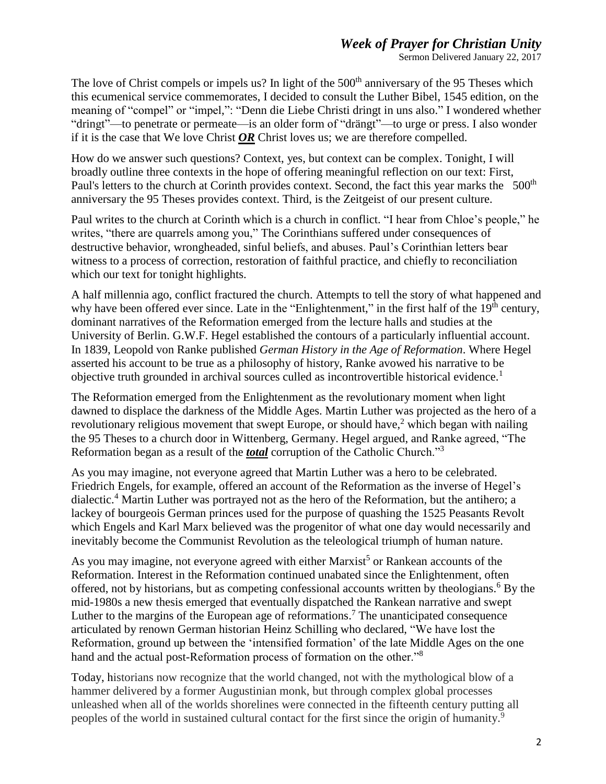## *Week of Prayer for Christian Unity*

Sermon Delivered January 22, 2017

The love of Christ compels or impels us? In light of the 500<sup>th</sup> anniversary of the 95 Theses which this ecumenical service commemorates, I decided to consult the Luther Bibel, 1545 edition, on the meaning of "compel" or "impel,": "Denn die Liebe Christi dringt in uns also." I wondered whether "dringt"—to penetrate or permeate—is an older form of "drängt"—to urge or press. I also wonder if it is the case that We love Christ *OR* Christ loves us; we are therefore compelled.

How do we answer such questions? Context, yes, but context can be complex. Tonight, I will broadly outline three contexts in the hope of offering meaningful reflection on our text: First, Paul's letters to the church at Corinth provides context. Second, the fact this year marks the 500<sup>th</sup> anniversary the 95 Theses provides context. Third, is the Zeitgeist of our present culture.

Paul writes to the church at Corinth which is a church in conflict. "I hear from Chloe's people," he writes, "there are quarrels among you," The Corinthians suffered under consequences of destructive behavior, wrongheaded, sinful beliefs, and abuses. Paul's Corinthian letters bear witness to a process of correction, restoration of faithful practice, and chiefly to reconciliation which our text for tonight highlights.

A half millennia ago, conflict fractured the church. Attempts to tell the story of what happened and why have been offered ever since. Late in the "Enlightenment," in the first half of the 19<sup>th</sup> century, dominant narratives of the Reformation emerged from the lecture halls and studies at the University of Berlin. G.W.F. Hegel established the contours of a particularly influential account. In 1839, Leopold von Ranke published *German History in the Age of Reformation*. Where Hegel asserted his account to be true as a philosophy of history, Ranke avowed his narrative to be objective truth grounded in archival sources culled as incontrovertible historical evidence.<sup>1</sup>

The Reformation emerged from the Enlightenment as the revolutionary moment when light dawned to displace the darkness of the Middle Ages. Martin Luther was projected as the hero of a revolutionary religious movement that swept Europe, or should have,<sup>2</sup> which began with nailing the 95 Theses to a church door in Wittenberg, Germany. Hegel argued, and Ranke agreed, "The Reformation began as a result of the *total* corruption of the Catholic Church."<sup>3</sup>

As you may imagine, not everyone agreed that Martin Luther was a hero to be celebrated. Friedrich Engels, for example, offered an account of the Reformation as the inverse of Hegel's dialectic. <sup>4</sup> Martin Luther was portrayed not as the hero of the Reformation, but the antihero; a lackey of bourgeois German princes used for the purpose of quashing the 1525 Peasants Revolt which Engels and Karl Marx believed was the progenitor of what one day would necessarily and inevitably become the Communist Revolution as the teleological triumph of human nature.

As you may imagine, not everyone agreed with either Marxist<sup>5</sup> or Rankean accounts of the Reformation. Interest in the Reformation continued unabated since the Enlightenment, often offered, not by historians, but as competing confessional accounts written by theologians. <sup>6</sup> By the mid-1980s a new thesis emerged that eventually dispatched the Rankean narrative and swept Luther to the margins of the European age of reformations. <sup>7</sup> The unanticipated consequence articulated by renown German historian Heinz Schilling who declared, "We have lost the Reformation, ground up between the 'intensified formation' of the late Middle Ages on the one hand and the actual post-Reformation process of formation on the other."<sup>8</sup>

Today, historians now recognize that the world changed, not with the mythological blow of a hammer delivered by a former Augustinian monk, but through complex global processes unleashed when all of the worlds shorelines were connected in the fifteenth century putting all peoples of the world in sustained cultural contact for the first since the origin of humanity.<sup>9</sup>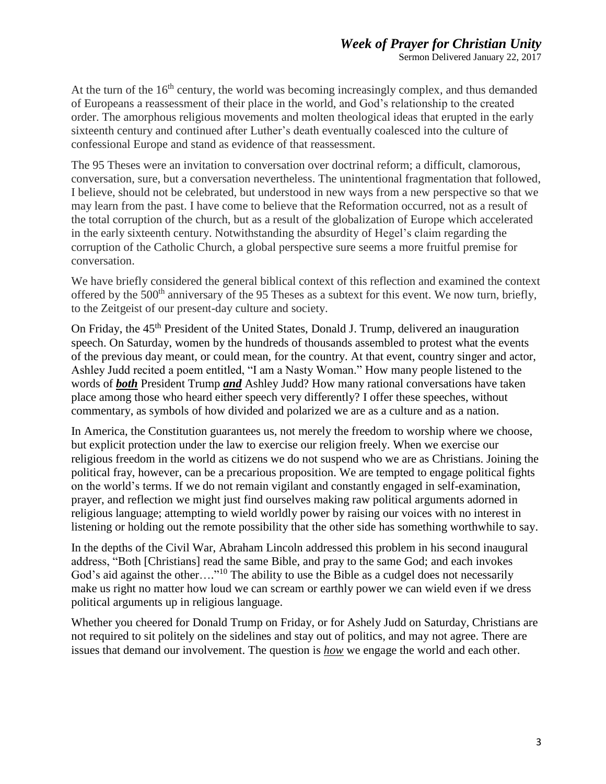Sermon Delivered January 22, 2017

At the turn of the  $16<sup>th</sup>$  century, the world was becoming increasingly complex, and thus demanded of Europeans a reassessment of their place in the world, and God's relationship to the created order. The amorphous religious movements and molten theological ideas that erupted in the early sixteenth century and continued after Luther's death eventually coalesced into the culture of confessional Europe and stand as evidence of that reassessment.

The 95 Theses were an invitation to conversation over doctrinal reform; a difficult, clamorous, conversation, sure, but a conversation nevertheless. The unintentional fragmentation that followed, I believe, should not be celebrated, but understood in new ways from a new perspective so that we may learn from the past. I have come to believe that the Reformation occurred, not as a result of the total corruption of the church, but as a result of the globalization of Europe which accelerated in the early sixteenth century. Notwithstanding the absurdity of Hegel's claim regarding the corruption of the Catholic Church, a global perspective sure seems a more fruitful premise for conversation.

We have briefly considered the general biblical context of this reflection and examined the context offered by the 500<sup>th</sup> anniversary of the 95 Theses as a subtext for this event. We now turn, briefly, to the Zeitgeist of our present-day culture and society.

On Friday, the 45<sup>th</sup> President of the United States, Donald J. Trump, delivered an inauguration speech. On Saturday, women by the hundreds of thousands assembled to protest what the events of the previous day meant, or could mean, for the country. At that event, country singer and actor, Ashley Judd recited a poem entitled, "I am a Nasty Woman." How many people listened to the words of *both* President Trump *and* Ashley Judd? How many rational conversations have taken place among those who heard either speech very differently? I offer these speeches, without commentary, as symbols of how divided and polarized we are as a culture and as a nation.

In America, the Constitution guarantees us, not merely the freedom to worship where we choose, but explicit protection under the law to exercise our religion freely. When we exercise our religious freedom in the world as citizens we do not suspend who we are as Christians. Joining the political fray, however, can be a precarious proposition. We are tempted to engage political fights on the world's terms. If we do not remain vigilant and constantly engaged in self-examination, prayer, and reflection we might just find ourselves making raw political arguments adorned in religious language; attempting to wield worldly power by raising our voices with no interest in listening or holding out the remote possibility that the other side has something worthwhile to say.

In the depths of the Civil War, Abraham Lincoln addressed this problem in his second inaugural address, "Both [Christians] read the same Bible, and pray to the same God; and each invokes God's aid against the other...."<sup>10</sup> The ability to use the Bible as a cudgel does not necessarily make us right no matter how loud we can scream or earthly power we can wield even if we dress political arguments up in religious language.

Whether you cheered for Donald Trump on Friday, or for Ashely Judd on Saturday, Christians are not required to sit politely on the sidelines and stay out of politics, and may not agree. There are issues that demand our involvement. The question is *how* we engage the world and each other.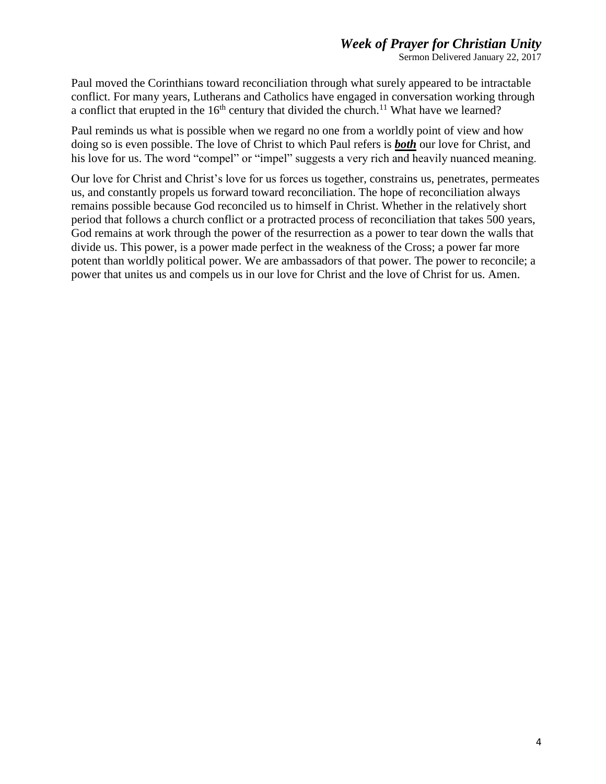## *Week of Prayer for Christian Unity*

Sermon Delivered January 22, 2017

Paul moved the Corinthians toward reconciliation through what surely appeared to be intractable conflict. For many years, Lutherans and Catholics have engaged in conversation working through a conflict that erupted in the  $16<sup>th</sup>$  century that divided the church.<sup>11</sup> What have we learned?

Paul reminds us what is possible when we regard no one from a worldly point of view and how doing so is even possible. The love of Christ to which Paul refers is *both* our love for Christ, and his love for us. The word "compel" or "impel" suggests a very rich and heavily nuanced meaning.

Our love for Christ and Christ's love for us forces us together, constrains us, penetrates, permeates us, and constantly propels us forward toward reconciliation. The hope of reconciliation always remains possible because God reconciled us to himself in Christ. Whether in the relatively short period that follows a church conflict or a protracted process of reconciliation that takes 500 years, God remains at work through the power of the resurrection as a power to tear down the walls that divide us. This power, is a power made perfect in the weakness of the Cross; a power far more potent than worldly political power. We are ambassadors of that power. The power to reconcile; a power that unites us and compels us in our love for Christ and the love of Christ for us. Amen.